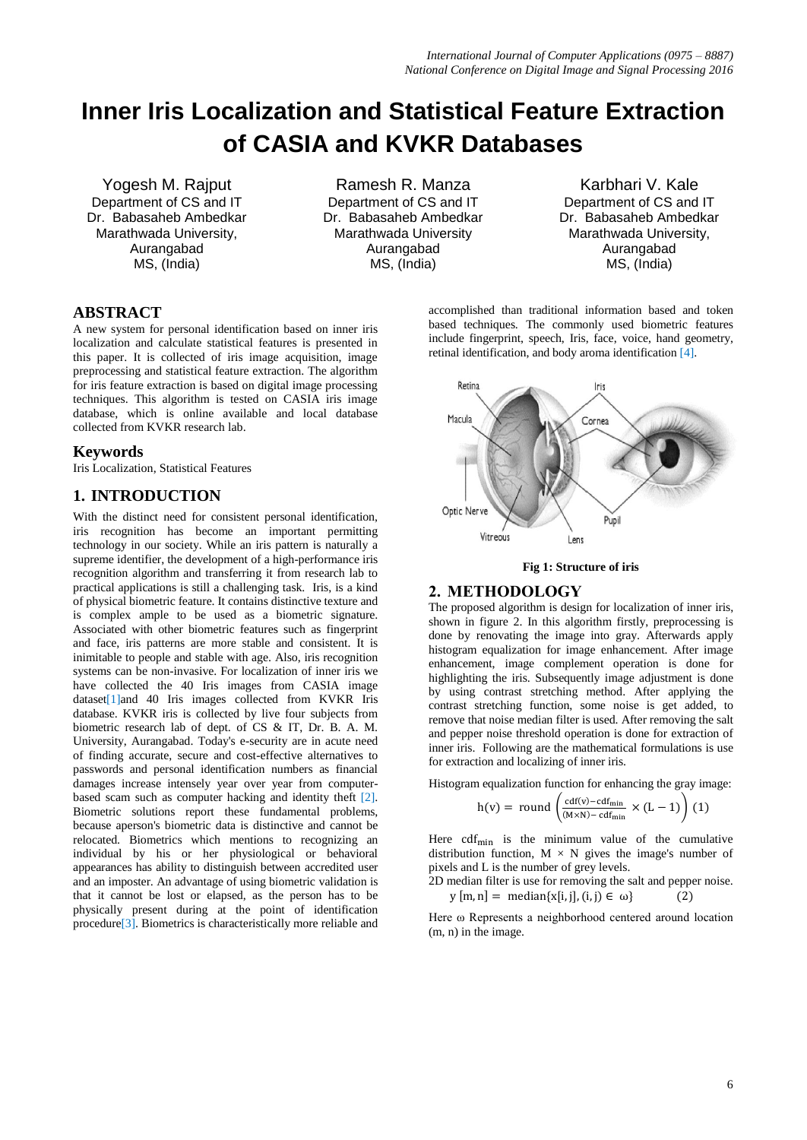# **Inner Iris Localization and Statistical Feature Extraction of CASIA and KVKR Databases**

Yogesh M. Rajput Department of CS and IT Dr. Babasaheb Ambedkar Marathwada University, Aurangabad MS, (India)

Ramesh R. Manza Department of CS and IT Dr. Babasaheb Ambedkar Marathwada University Aurangabad MS, (India)

Karbhari V. Kale Department of CS and IT Dr. Babasaheb Ambedkar Marathwada University, Aurangabad MS, (India)

## **ABSTRACT**

A new system for personal identification based on inner iris localization and calculate statistical features is presented in this paper. It is collected of iris image acquisition, image preprocessing and statistical feature extraction. The algorithm for iris feature extraction is based on digital image processing techniques. This algorithm is tested on CASIA iris image database, which is online available and local database collected from KVKR research lab.

## **Keywords**

Iris Localization, Statistical Features

## **1. INTRODUCTION**

With the distinct need for consistent personal identification, iris recognition has become an important permitting technology in our society. While an iris pattern is naturally a supreme identifier, the development of a high-performance iris recognition algorithm and transferring it from research lab to practical applications is still a challenging task. Iris, is a kind of physical biometric feature. It contains distinctive texture and is complex ample to be used as a biometric signature. Associated with other biometric features such as fingerprint and face, iris patterns are more stable and consistent. It is inimitable to people and stable with age. Also, iris recognition systems can be non-invasive. For localization of inner iris we have collected the 40 Iris images from CASIA image dataset[1]and 40 Iris images collected from KVKR Iris database. KVKR iris is collected by live four subjects from biometric research lab of dept. of CS & IT, Dr. B. A. M. University, Aurangabad. Today's e-security are in acute need of finding accurate, secure and cost-effective alternatives to passwords and personal identification numbers as financial damages increase intensely year over year from computerbased scam such as computer hacking and identity theft [2]. Biometric solutions report these fundamental problems, because aperson's biometric data is distinctive and cannot be relocated. Biometrics which mentions to recognizing an individual by his or her physiological or behavioral appearances has ability to distinguish between accredited user and an imposter. An advantage of using biometric validation is that it cannot be lost or elapsed, as the person has to be physically present during at the point of identification procedure[3]. Biometrics is characteristically more reliable and

accomplished than traditional information based and token based techniques. The commonly used biometric features include fingerprint, speech, Iris, face, voice, hand geometry, retinal identification, and body aroma identification [4].



#### **Fig 1: Structure of iris**

## **2. METHODOLOGY**

The proposed algorithm is design for localization of inner iris, shown in figure 2. In this algorithm firstly, preprocessing is done by renovating the image into gray. Afterwards apply histogram equalization for image enhancement. After image enhancement, image complement operation is done for highlighting the iris. Subsequently image adjustment is done by using contrast stretching method. After applying the contrast stretching function, some noise is get added, to remove that noise median filter is used. After removing the salt and pepper noise threshold operation is done for extraction of inner iris. Following are the mathematical formulations is use for extraction and localizing of inner iris.

Histogram equalization function for enhancing the gray image:

$$
h(v) = round \left( \frac{cdf(v) - cdf_{\min}}{(M \times N) - cdf_{\min}} \times (L - 1) \right) (1)
$$

Here  $cdf_{min}$  is the minimum value of the cumulative distribution function,  $M \times N$  gives the image's number of pixels and L is the number of grey levels.

2D median filter is use for removing the salt and pepper noise.  $y[m,n] = median{x[i,j], (i,j) \in \omega}$  $(2)$ 

Here ω Represents a neighborhood centered around location (m, n) in the image.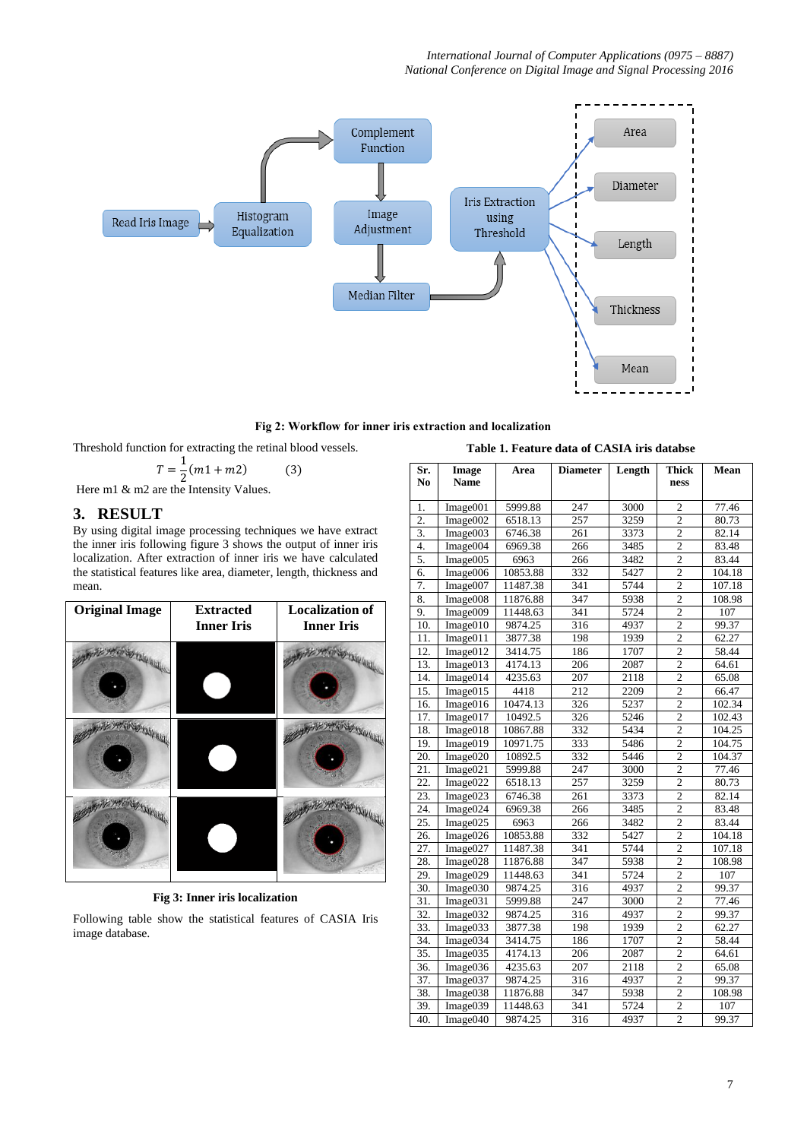

**Fig 2: Workflow for inner iris extraction and localization**

Threshold function for extracting the retinal blood vessels.

$$
T = \frac{1}{2}(m1 + m2)
$$
 (3)

Here m1 & m2 are the Intensity Values.

## **3. RESULT**

By using digital image processing techniques we have extract the inner iris following figure 3 shows the output of inner iris localization. After extraction of inner iris we have calculated the statistical features like area, diameter, length, thickness and mean.



**Fig 3: Inner iris localization**

Following table show the statistical features of CASIA Iris image database.

| Sr.<br>N <sub>0</sub> | Image<br><b>Name</b> | Area     | <b>Diameter</b> | Length | <b>Thick</b><br>ness    | Mean   |
|-----------------------|----------------------|----------|-----------------|--------|-------------------------|--------|
| 1.                    | Image001             | 5999.88  | 247             | 3000   | $\overline{2}$          | 77.46  |
| $\overline{2}$ .      | Image002             | 6518.13  | 257             | 3259   | $\overline{c}$          | 80.73  |
| 3.                    | Image003             | 6746.38  | 261             | 3373   | $\overline{2}$          | 82.14  |
| 4.                    | Image004             | 6969.38  | 266             | 3485   | $\overline{2}$          | 83.48  |
| 5.                    | Image005             | 6963     | 266             | 3482   | $\overline{2}$          | 83.44  |
| 6.                    | Image006             | 10853.88 | 332             | 5427   | $\overline{2}$          | 104.18 |
| 7.                    | Image007             | 11487.38 | 341             | 5744   | $\overline{c}$          | 107.18 |
| 8.                    | Image008             | 11876.88 | 347             | 5938   | $\overline{2}$          | 108.98 |
| 9.                    | Image009             | 11448.63 | 341             | 5724   | $\overline{2}$          | 107    |
| 10.                   | Image010             | 9874.25  | 316             | 4937   | $\overline{2}$          | 99.37  |
| 11.                   | Image011             | 3877.38  | 198             | 1939   | $\overline{2}$          | 62.27  |
| 12.                   | Image012             | 3414.75  | 186             | 1707   | $\overline{2}$          | 58.44  |
| 13.                   | Image013             | 4174.13  | 206             | 2087   | $\overline{c}$          | 64.61  |
| 14.                   | Image014             | 4235.63  | 207             | 2118   | $\overline{c}$          | 65.08  |
| 15.                   | Image015             | 4418     | 212             | 2209   | $\overline{2}$          | 66.47  |
| 16.                   | Image016             | 10474.13 | 326             | 5237   | $\overline{2}$          | 102.34 |
| 17.                   | Image017             | 10492.5  | 326             | 5246   | $\overline{2}$          | 102.43 |
| 18.                   | Image018             | 10867.88 | 332             | 5434   | $\overline{c}$          | 104.25 |
| 19.                   | Image019             | 10971.75 | 333             | 5486   | $\overline{2}$          | 104.75 |
| $\overline{20}$ .     | Image020             | 10892.5  | 332             | 5446   | $\overline{2}$          | 104.37 |
| 21.                   | Image021             | 5999.88  | 247             | 3000   | $\overline{c}$          | 77.46  |
| 22.                   | Image022             | 6518.13  | 257             | 3259   | $\overline{2}$          | 80.73  |
| 23.                   | Image023             | 6746.38  | 261             | 3373   | $\overline{2}$          | 82.14  |
| 24.                   | Image024             | 6969.38  | 266             | 3485   | $\overline{2}$          | 83.48  |
| 25.                   | Image025             | 6963     | 266             | 3482   | $\overline{c}$          | 83.44  |
| 26.                   | Image026             | 10853.88 | 332             | 5427   | $\overline{2}$          | 104.18 |
| 27.                   | Image027             | 11487.38 | 341             | 5744   | $\overline{c}$          | 107.18 |
| 28.                   | Image028             | 11876.88 | 347             | 5938   | $\overline{c}$          | 108.98 |
| 29.                   | Image029             | 11448.63 | 341             | 5724   | $\overline{c}$          | 107    |
| 30.                   | Image030             | 9874.25  | 316             | 4937   | $\overline{2}$          | 99.37  |
| 31.                   | Image031             | 5999.88  | 247             | 3000   | $\overline{2}$          | 77.46  |
| 32.                   | Image032             | 9874.25  | 316             | 4937   | $\overline{c}$          | 99.37  |
| 33.                   | Image033             | 3877.38  | 198             | 1939   | $\overline{2}$          | 62.27  |
| 34.                   | Image034             | 3414.75  | 186             | 1707   | $\overline{2}$          | 58.44  |
| 35.                   | Image035             | 4174.13  | 206             | 2087   | $\overline{2}$          | 64.61  |
| 36.                   | Image036             | 4235.63  | 207             | 2118   | $\overline{\mathbf{c}}$ | 65.08  |
| 37.                   | Image037             | 9874.25  | 316             | 4937   | $\overline{2}$          | 99.37  |
| 38.                   | Image038             | 11876.88 | 347             | 5938   | $\overline{2}$          | 108.98 |
| 39.                   | Image039             | 11448.63 | 341             | 5724   | $\overline{2}$          | 107    |
| 40.                   | Image040             | 9874.25  | 316             | 4937   | $\overline{2}$          | 99.37  |

**Table 1. Feature data of CASIA iris databse**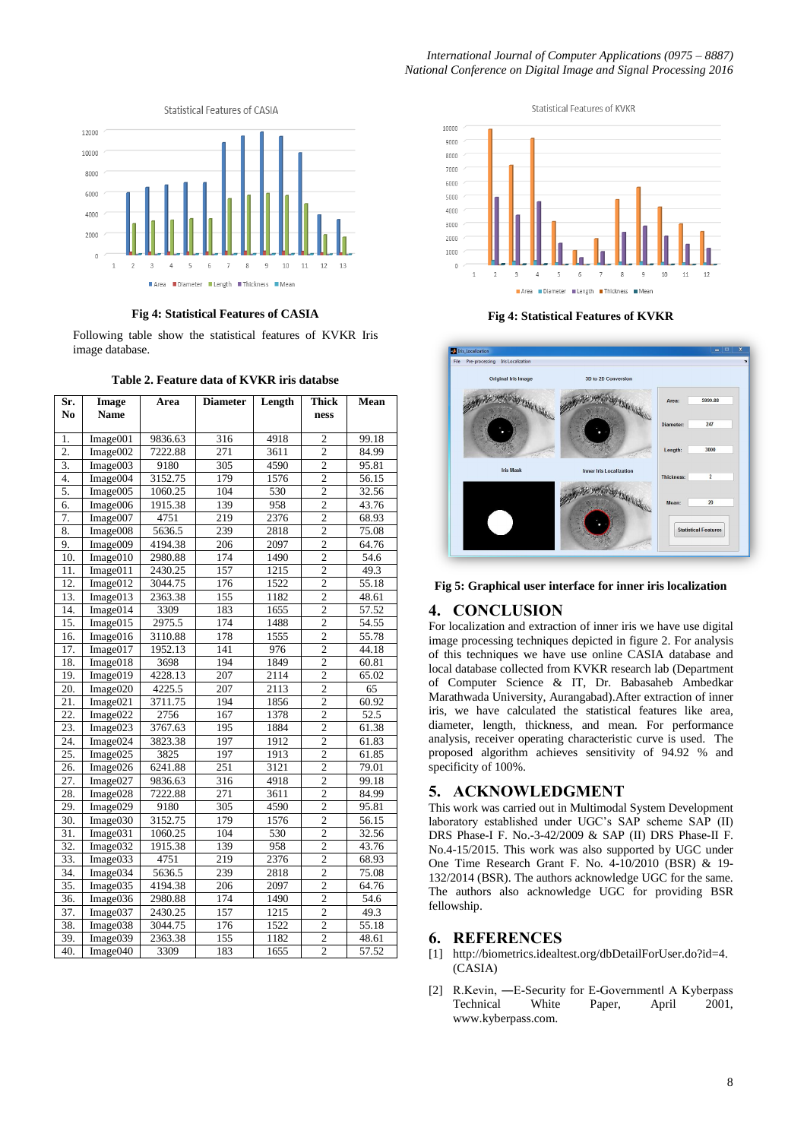

**Fig 4: Statistical Features of CASIA**

Following table show the statistical features of KVKR Iris image database.

| Table 2. Feature data of KVKR iris databse |
|--------------------------------------------|
|--------------------------------------------|

| Sr.              | <b>Image</b>         | Area    | <b>Diameter</b>  | Length | <b>Thick</b>   | Mean               |
|------------------|----------------------|---------|------------------|--------|----------------|--------------------|
| No.              | <b>Name</b>          |         |                  |        | ness           |                    |
|                  |                      |         |                  |        |                |                    |
| 1.               | Image001             | 9836.63 | 316              | 4918   | $\overline{c}$ | 99.18              |
| $\overline{2}$ . | Image002             | 7222.88 | 271              | 3611   | $\overline{2}$ | 84.99              |
| $\overline{3}$ . | Image003             | 9180    | $\frac{305}{ }$  | 4590   | $\overline{2}$ | 95.81              |
| $\overline{4}$ . | Image004             | 3152.75 | 179              | 1576   | $\overline{c}$ | 56.15              |
| 5.               | Image005             | 1060.25 | 104              | 530    | $\overline{2}$ | 32.56              |
| 6.               | Image006             | 1915.38 | 139              | 958    | $\overline{2}$ | 43.76              |
| 7.               | Image007             | 4751    | 219              | 2376   | $\overline{2}$ | 68.93              |
| 8.               | Image008             | 5636.5  | 239              | 2818   | $\overline{c}$ | 75.08              |
| 9.               | Image009             | 4194.38 | 206              | 2097   | $\overline{2}$ | 64.76              |
| 10.              | Image010             | 2980.88 | 174              | 1490   | $\overline{2}$ | 54.6               |
| 11.              | Image011             | 2430.25 | 157              | 1215   | $\overline{2}$ | 49.3               |
| 12.              | Image012             | 3044.75 | 176              | 1522   | $\overline{c}$ | 55.18              |
| 13.              | Image013             | 2363.38 | 155              | 1182   | $\overline{2}$ | 48.61              |
| 14.              | Image014             | 3309    | 183              | 1655   | $\overline{2}$ | 57.52              |
| 15.              | Image $015$          | 2975.5  | 174              | 1488   | $\overline{c}$ | 54.55              |
| 16.              | Image016             | 3110.88 | 178              | 1555   | $\overline{2}$ | 55.78              |
| 17.              | Image017             | 1952.13 | 141              | 976    | $\overline{2}$ | 44.18              |
| 18.              | Image <sub>018</sub> | 3698    | 194              | 1849   | $\overline{2}$ | 60.81              |
| 19.              | Image019             | 4228.13 | 207              | 2114   | $\overline{c}$ | 65.02              |
| 20.              | Image020             | 4225.5  | 207              | 2113   | $\overline{2}$ | 65                 |
| 21.              | Image021             | 3711.75 | 194              | 1856   | $\overline{2}$ | 60.92              |
| 22.              | Image <sub>022</sub> | 2756    | 167              | 1378   | $\overline{2}$ | 52.5               |
| 23.              | Image023             | 3767.63 | 195              | 1884   | $\overline{c}$ | 61.38              |
| 24.              | Image024             | 3823.38 | 197              | 1912   | $\overline{2}$ | 61.83              |
| 25.              | Image025             | 3825    | 197              | 1913   | $\overline{2}$ | 61.85              |
| 26.              | Image026             | 6241.88 | 251              | 3121   | $\overline{2}$ | 79.01              |
| 27.              | Image027             | 9836.63 | 316              | 4918   | $\overline{c}$ | 99.18              |
| 28.              | Image028             | 7222.88 | 271              | 3611   | $\overline{2}$ | 84.99              |
| 29.              | Image029             | 9180    | 305              | 4590   | $\overline{2}$ | 95.81              |
| 30.              | Image030             | 3152.75 | 179              | 1576   | $\overline{2}$ | 56.15              |
| 31.              | Image031             | 1060.25 | 104              | 530    | $\overline{c}$ | 32.56              |
| $\overline{32}$  | Image032             | 1915.38 | 139              | 958    | $\overline{2}$ | 43.76              |
| 33.              | Image033             | 4751    | 219              | 2376   | $\overline{c}$ | 68.93              |
| 34.              | Image034             | 5636.5  | 239              | 2818   | $\overline{2}$ | 75.08              |
| 35.              | Image035             | 4194.38 | 206              | 2097   | $\overline{c}$ | 64.76              |
| 36.              | Image036             | 2980.88 | 174              | 1490   | $\overline{2}$ | 54.6               |
| 37.              | Image $037$          | 2430.25 | $\overline{157}$ | 1215   | $\overline{2}$ | 49.3               |
| 38.              | Image038             | 3044.75 | 176              | 1522   | $\overline{2}$ | 55.18              |
| 39.              | Image039             | 2363.38 | 155              | 1182   | $\overline{2}$ | $\overline{48.61}$ |
| 40.              | Image $040$          | 3309    | 183              | 1655   | $\overline{2}$ | 57.52              |



**Fig 4: Statistical Features of KVKR**



**Fig 5: Graphical user interface for inner iris localization**

## **4. CONCLUSION**

For localization and extraction of inner iris we have use digital image processing techniques depicted in figure 2. For analysis of this techniques we have use online CASIA database and local database collected from KVKR research lab (Department of Computer Science & IT, Dr. Babasaheb Ambedkar Marathwada University, Aurangabad).After extraction of inner iris, we have calculated the statistical features like area, diameter, length, thickness, and mean. For performance analysis, receiver operating characteristic curve is used. The proposed algorithm achieves sensitivity of 94.92 % and specificity of 100%.

## **5. ACKNOWLEDGMENT**

This work was carried out in Multimodal System Development laboratory established under UGC's SAP scheme SAP (II) DRS Phase-I F. No.-3-42/2009 & SAP (II) DRS Phase-II F. No.4-15/2015. This work was also supported by UGC under One Time Research Grant F. No. 4-10/2010 (BSR) & 19- 132/2014 (BSR). The authors acknowledge UGC for the same. The authors also acknowledge UGC for providing BSR fellowship.

#### **6. REFERENCES**

- [1] http://biometrics.idealtest.org/dbDetailForUser.do?id=4. (CASIA)
- [2] R.Kevin, -E-Security for E-Government A Kyberpass Technical White Paper, April 2001, www.kyberpass.com.